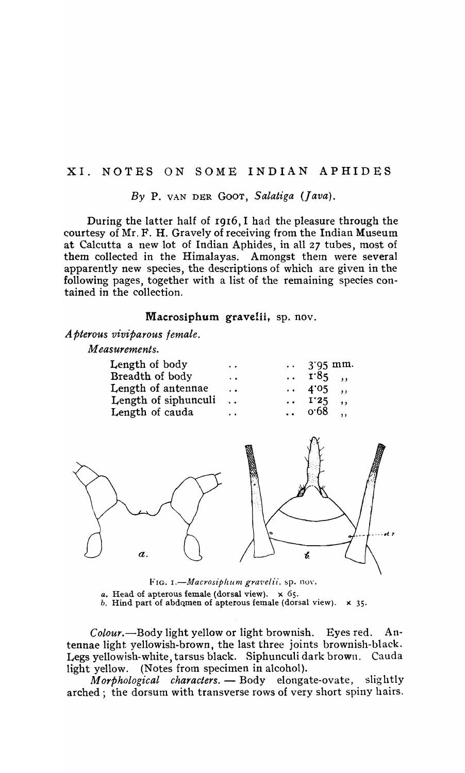### XI. NOTES ON SOME INDIAN APHIDES

*By* P. VAN DER GOOT, *Salatiga (Java).* 

During the latter half of I916, I had the pleasure through the courtesy of Mr. F. H. Gravely of receiving from the Indian Museum at Calcutta a new lot of Indian Aphides, in all 27 tubes, most of them collected in the Himalayas. Amongst them were several apparently new species, the descriptions of which are given in the following pages, together with a list of the remaining species contained in the collection.

### Macrosiphum gravelii, sp. nov.

*Apterous viviparous female.* 

*Measurements.* 

| Length of body       | $\ddot{\phantom{a}}$ | $\therefore$ 3.95 mm.             |               |
|----------------------|----------------------|-----------------------------------|---------------|
| Breadth of body      | $\ddot{\phantom{0}}$ | $\cdots$ $\Gamma$ <sup>85</sup> , |               |
| Length of antennae   | $\ddot{\phantom{a}}$ | $\cdots$ 4.05 .                   |               |
| Length of siphunculi | $\ddot{\phantom{0}}$ | $\ldots$ I'25                     | $\rightarrow$ |
| Length of cauda      | $\ddot{\phantom{a}}$ | $\therefore$ 0.68 .               |               |
|                      |                      |                                   |               |



FIG. I.-Macrosiphum gravelii, sp. nov. *a.* Head of apterous female (dorsal view). x 65. b. Hind part of abdomen of apterous female (dorsal view).  $\times$  35.

*Colour.-Body* light yellow or light brownish. Eyes red. Antennae light yellowish-brown, the last three joints brownish-black. Legs yellowish-white tarsus black. Siphunculi dark brown. Cauda light yellow. (Notes from specimen in alcohol).

*Morphological characters.* - Body elongate-ovate, slightly arched; the dorsum with transverse rows of very short spiny hairs.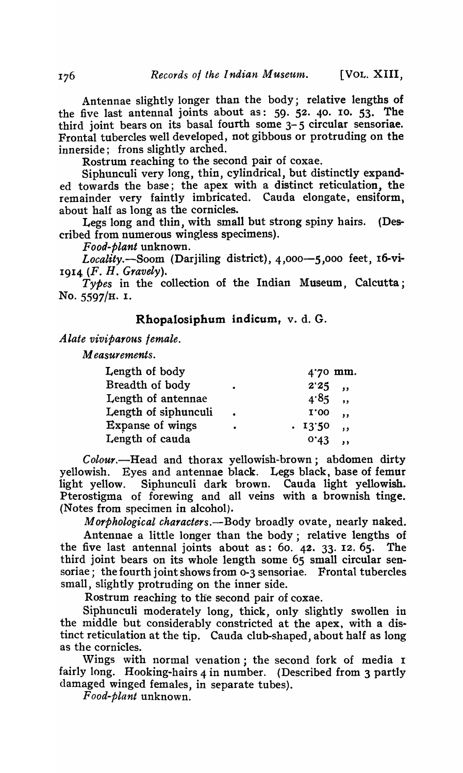Antennae slightly longer than the body; relative lengths of the five last antennal joints about as: 59. 52. 40. 10. 53. The third joint bears on its basal fourth some 3-5 circular sensoriae. Frontal tubercles well developed, not gibbous or protruding on the innerside; frons slightly arched.

Rostrum reaching to the second pair of coxae.

Siphunculi very long, thin, cylindrical, but distinctly expanded towards the base; the apex with a distinct reticulation, the remainder very faintly imbricated. Cauda elongate, ensiform, about half as long as the cornicles.

Legs long and thin, with small but strong spiny hairs. (Described from numerous wingless specimens).

*Food-plant* unknown.

*Locality.-Soom* (Darjiling district), 4,000-5,000 feet, 16-vi-1914 *(F. H. Gravely).* 

*Types* in the collection of the Indian Museum, Calcutta; No. 5597/H. I.

### Rhopalosiphum indicum, v. d. G.

*Alate viviparous female.* 

*Measurements.* 

| Length of body          |           |             | 4.70 mm.                |
|-------------------------|-----------|-------------|-------------------------|
| Breadth of body         | ٠         | $2'25$ ,    |                         |
| Length of antennae      |           | $4.85$ ,    |                         |
| Length of siphunculi    | $\bullet$ | <b>I.00</b> | $\overline{\mathbf{u}}$ |
| <b>Expanse of wings</b> | ٠         | .1350       | $\ddot{\phantom{a}}$    |
| Length of cauda         |           | 0.43        |                         |

Colour.-Head and thorax yellowish-brown; abdomen dirty yellowish. Eyes and antennae black. Legs black, base of femur light yellow. Siphunculi dark brown. Cauda light yellowish. Pterostigma of forewing and all veins with a brownish tinge. (Notes from specimen in alcohol).

*Morphological characters*. - Body broadly ovate, nearly naked.

Antennae a little longer than the body; relative lengths of the five last antennal joints about as: 60. 42. 33. 12. 65. The third joint bears on its whole length some 65 small circular sensoriae; the fourth joint shows from 0-3 sensoriae. Frontal tubercles small, slightly protruding on the inner side.

Rostrum reaching to the second pair of coxae.

Siphunculi moderately long, thick, only slightly swollen in the middle but considerably constricted at the apex, with a distinct reticulation at the tip. Cauda club-shaped, about half as long as the cornicles.

Wings with normal venation; the second fork of media <sup>I</sup> fairly long. Hooking-hairs  $4$  in number. (Described from 3 partly damaged winged females, in separate tubes).

*Food .. plant* unknown.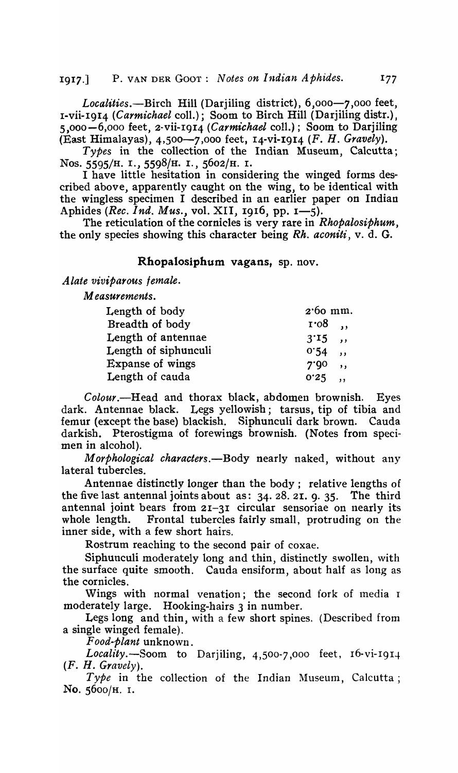1917.] P. VAN DER GOOT: *Notes on Indian Aphides.* 177

Localities.-Birch Hill (Darjiling district), 6,000-7,000 feet, 1-vii-19I4 *(Carmichael coll.)*; Soom to Birch Hill (Darjiling distr.). 5,000-6,000 feet, 2-vii-I9I4 *(Carmichael* coIL); Soom to Darjiling (East Himalayas), 4,500-7,000 feet, I4-vi-I9I4 (F. H. *Gravely).* 

*Types* in the collection of the Indian Museum, Calcutta; Nos. 5595/H. I., 559B/H. I., S602/H. I.

I have little hesitation in considering the winged forms described above, apparently caught on the wing, to be identical with the wingless specimen I described in an earlier paper on Indian Aphides *(Rec. 1nd. Mus.*, vol. XII, 1916, pp. 1-5).

The reticulation of the cornicles is very rare in *Rhopalosiphum*, the only species showing this character being Rh. *aconiti,* v. d. G.

## Rhopalosiphum vagans, sp. nov.

*Alate viviparous female.* 

*Measurements.* 

| Length of body          | $2.60$ mm.                       |  |
|-------------------------|----------------------------------|--|
| Breadth of body         | $\mathbf{r} \cdot \mathbf{08}$ , |  |
| Length of antennae      | $3'15$ ,                         |  |
| Length of siphunculi    | 0.54<br>$\overline{\phantom{a}}$ |  |
| <b>Expanse of wings</b> | 7.90<br>$\overline{\phantom{a}}$ |  |
| Length of cauda         | $0.25$ ,                         |  |
|                         |                                  |  |

*Colour.-Head* and thorax black, abdomen brownish. Eyes dark. Antennae black. Legs yellowish; tarsus, tip of tibia and femur (except the base) blackish. Siphunculi dark brown. Cauda darkish. Pterostigma of forewings brownish. (Notes from specimen in alcohol).

*Morphological characters*. - Body nearly naked, without any lateral tubercles.

Antennae distinctly longer than the body; relative lengths of the five last antennal joints about as: 34. 28. 2I. 9. 35. The third antennal joint bears from 21-31 circular sensoriae on nearly its whole length. Frontal tubercles fairly small, protruding on the inner side, with a few short hairs.

Rostrum reaching to the second pair of coxae.

Siphunculi moderately long and thin, distinctly swollen, with the surface quite smooth. Cauda ensiform, about half as long as the cornicles.

Wings with normal venation; the second fork of media I moderately large. Hooking-hairs 3 in number.

Legs long and thin, with a few short spines. (Described from a single winged female).

*Food-plant* unknown.

*Locality.-Soom* to Darjiling, 4,500-7,000 feet, r6-vi-I9I4 (F. H. *Gravely).* 

Type in the collection of the Indian Museum, Calcutta; No. S600/H. 1.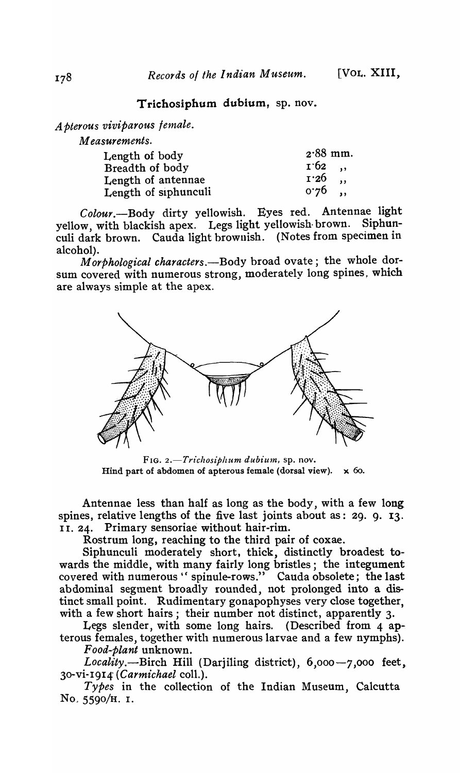# Trichosiphum dubium, sp. nov.

*A pterous viviparous female.* 

| <i>Measurements.</i> |                                 |
|----------------------|---------------------------------|
| Length of body       | $2.88$ mm.                      |
| Breadth of body      | 1.62,                           |
| Length of antennae   | 1.26<br>$\overline{\mathbf{u}}$ |
| Length of siphunculi | $0.76$ ,                        |

*Colour.-Body* dirty yellowish. Eyes red. Antennae light yellow, with blackish apex. Legs light yellowish brown. culi dark brown. Cauda light brownish. (Notes from specimen in alcohol).

*Morphological characters*. - Body broad ovate; the whole dorsum covered with numerous strong, moderately long spines, which are always simple at the apex.



FIG. 2.-Trichosiphum dubium, sp. nov. Hind part of abdomen of apterous female (dorsal view).  $\times$  60.

Antennae less than half as long as the body, with a few long spines, relative lengths of the five last joints about as: 29. 9. 13. II. 24. Primary sensoriae without hair-rim.

Rostrum long, reaching to the third pair of coxae.

Siphunculi moderately short, thick, distinctly broadest towards the middle, with many fairly long bristles; the integument covered with numerous " spinule-rows." Cauda obsolete; the last abdominal segment broadly rounded, not prolonged into a distinct small point. Rudimentary gonapophyses very close together, with a few short hairs; their number not distinct, apparently 3.

Legs slender, with some long hairs. (Described from 4 apterous females, together with numerous larvae and a few nymphs). *Food-plant* unknown.

Locality.--Birch Hill (Darjiling district), 6,000-7,000 feet, 30-vi-I9I4' *(Carmichael* coll.).

*Types* in the collection of the Indian Museum, Calcutta No. 5590/H. I.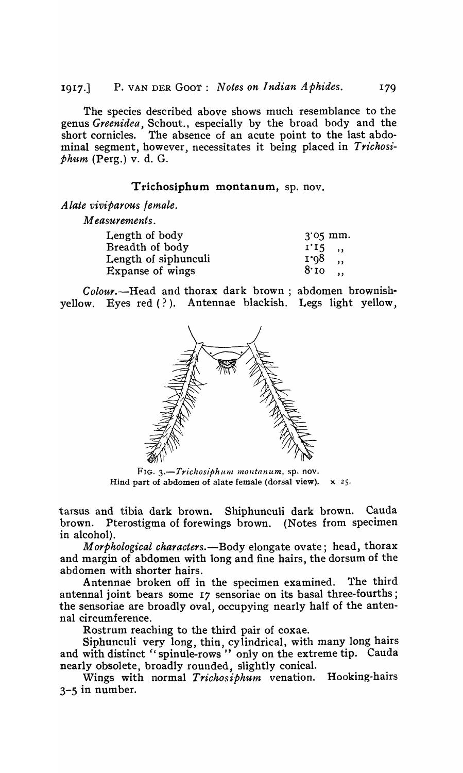The species described above shows much resemblance to the genus *Greenidea,* Schout., especially by the broad body and the short cornicles. The absence of an acute point to the last abdominal segment, however, necessitates it being placed in *Trichosiphum* (Perg.) v. d. G.

## Trichosiphum montanum, sp. nov.

*A late viviparous female.* 

*Measurements.* 

| Length of body       | $3'05$ mm.                      |
|----------------------|---------------------------------|
| Breadth of body      | $1'15$ ,                        |
| Length of siphunculi | 1.98<br>$\overline{\mathbf{z}}$ |
| Expanse of wings     | $8\cdot$ 10,                    |
|                      |                                 |

*Colour.-Head* and thorax dark brown; abdomen brownishyellow. Eyes red (?). Antennae blackish. Legs light yellow,



FIG. *3.-Trichosiphum moutanum,* sp. nov. Hind part of abdomen of alate female (dorsal view).  $\times$  25.

tarsus and tibia dark brown. Shiphunculi dark brown. Cauda brown. Pterostigma of forewings brown. (Notes from specimen in alcohol).

*Morphological characters.-Body* elongate ovate; head, thorax and margin of abdomen with long and fine hairs, the dorsum of the abdomen with shorter hairs.

Antennae broken off in the specimen examined. The third antennal joint bears some 17 sensoriae on its basal three-fourths; the sensoriae are broadly oval, occupying nearly half of the antenna! circumference.

Rostrum reaching to the third pair of coxae.

Siphunculi very long, thin, cylindrical, with many long hairs and with distinct "spinule-rows" only on the extreme tip. Cauda nearly obsolete, broadly rounded, slightly conical.

Wings with normal *Trichosiphum* venation. Hooking-hairs 3-5 in number.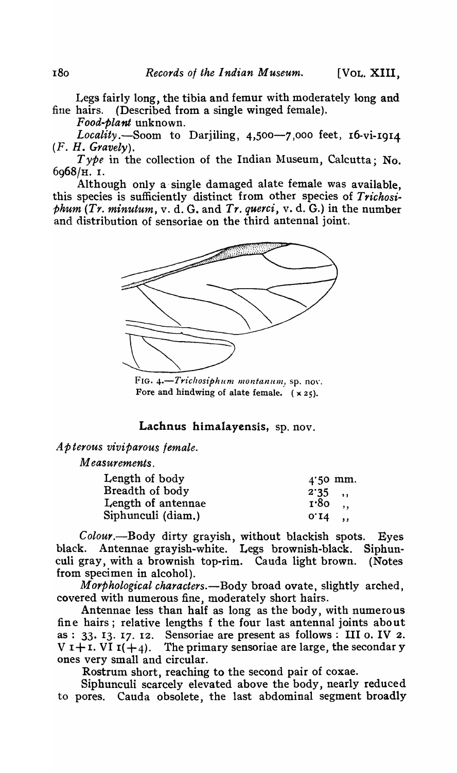Legs fairly long, the tibia and femur with moderately long and fine hairs. (Described from a single winged female).

*Food-plant* unknown.

Locality.-Soom to Darjiling, 4,500-7,000 feet, 16-vi-1914 *(F. H. Gravely).* 

*Type* in the collection of the Indian Museum, Calcutta; No. 6968/H. I.

Although only a- single damaged alate female was available, this species is sufficiently distinct from other species of *Trichosiphum (Tr. minutum,* v. d. G. and *Tr. querci,* v. d. G.) in the number and distribution of sensoriae on the third antennal joint.



FIG. 4.-Trichosiphum montanum, sp. nov. Fore and hindwing of alate female.  $(x 25)$ .

## Lachnus himalayensis, sp. nov.

*A p terous viviparous female.* 

*Measurements.* 

| Length of body     | $4.50$ mm.              |  |
|--------------------|-------------------------|--|
| Breadth of body    | $2.35$ ,                |  |
| Length of antennae | $\mathbf{r} \cdot 8$ o, |  |
| Siphunculi (diam.) | $0'14$ ,                |  |

Colour.--Body dirty grayish, without blackish spots. Eyes black. Antennae grayish-white. Legs brownish-black. Siphunculi gray, with a brownish top-rim. Cauda light brown. (Notes from specimen in alcohol).

*Morphological characters.-Body* broad ovate, slightly arched, covered with numerous fine, moderately short hairs.

Antennae less than half as long as the body, with numerous fine hairs; relative lengths f the four last antennal joints about as:  $33. 13. 17. 12.$  Sensoriae are present as follows: III o. IV 2.  $V I + I. VI I(+4)$ . The primary sensoriae are large, the secondar y ones very small and circular.

Rostrum short, reaching to the second pair of coxae.

Siphunculi scarcely elevated above the body, nearly reduced to pores. Cauda obsolete, the last abdominal segment broadly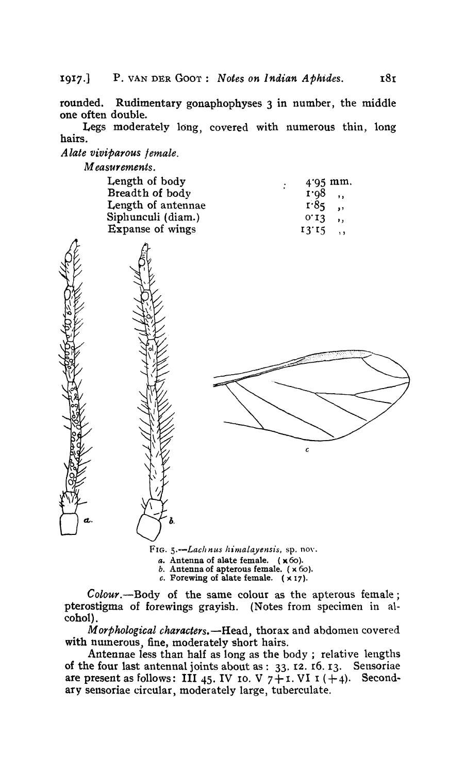rounded. Rudimentary gonaphophyses 3 in number, the middle one often double.

Legs moderately long, covered with numerous thin, long hairs.

*Alate viviparous female.* 

 $M$  easurements.

| Length of body     | $4.95$ mm.<br>$\bullet$ . |
|--------------------|---------------------------|
| Breadth of body    | $r \cdot 98$ ,            |
| Length of antennae | $1.85$ ,                  |
| Siphunculi (diam.) | $0'13$ ,                  |
| Expanse of wings   | $13'15$ ,                 |
|                    |                           |

FIG. 5.--Lachnus himalayensis, sp. nov.

Ъ.

c

- *a.* Antenna of alate female. (x60).
- $b.$  Antenna of apterous female.  $(x 60)$ .

*c.* Forewing of alate female.  $(x 17)$ .

*Colour*.—Body of the same colour as the apterous female; pterostigma of forewings grayish. (Notes from specimen in alcohol).

*Morphological characters.*-Head, thorax and abdomen covered with numerous, fine, moderately short hairs.

Antennae less than half as long as the body ; relative lengths of the four last antennal joints about as: 33. I2. r6. 13. Sensoriae are present as follows: III 45. IV 10. V  $7 + i$ . VI  $i + 4$ ). Secondary sensoriae circular, moderately large, tuberculate.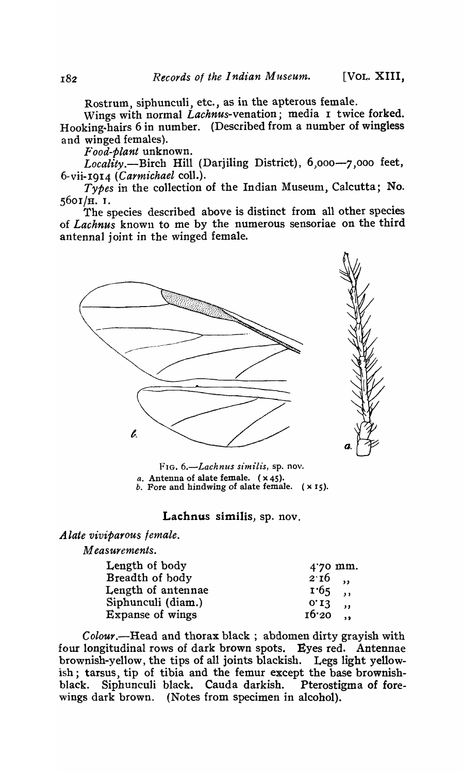Rostrum, siphunculi, etc., as in the apterous female.

Wings with normal *Lachnus-venation;* media 1 twice forked. Hooking-hairs 6 in number. (Described from a number of wingless and winged females).

*r'ood-plant* unknown.

Locality.-Birch Hill (Darjiling District), 6,000-7,000 feet, 6-vii-I914 *(Carmichael* coll.).

*Types* in the collection of the Indian Museum, Calcutta; No. s60r/H. I.

The species described above is distinct from all other species of *Lachnus* known to me by the numerous sensoriae on the third antennal joint in the winged female.



FIG. 6.-Lachnus similis, sp. nov. *a.* Antenna of alate female. (x 45). b. Fore and hindwing of alate female.  $(x 15)$ .

### Lachnus similis, sp. nov.

*Alate viviparous female.* 

*Measurements.* 

| Length of body     | 4.70 mm.                        |
|--------------------|---------------------------------|
| Breadth of body    | $2.16$ ,                        |
| Length of antennae | $1.65$ ,                        |
| Siphunculi (diam.) | 0.13<br>$\overline{\mathbf{u}}$ |
| Expanse of wings   | $16'20$ ,                       |

*Colour.-Head* and thorax black; abdomen dirty grayish with four longitudinal rows of dark brown spots. Eyes red. Antennae brownish-yellow, the tips of all joints blackish. Legs light yellowish; tarsus, tip of tibia and the femur except the base brownish-<br>black. Siphunculi black. Cauda darkish. Pterostigma of foreblack. Siphunculi black. Cauda darkish. Pterostigma of forewings dark brown. (Notes from specimen in alcohol).